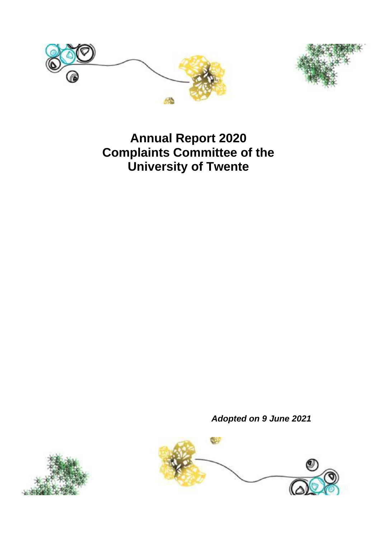



# **Annual Report 2020 Complaints Committee of the University of Twente**

*Adopted on 9 June 2021*



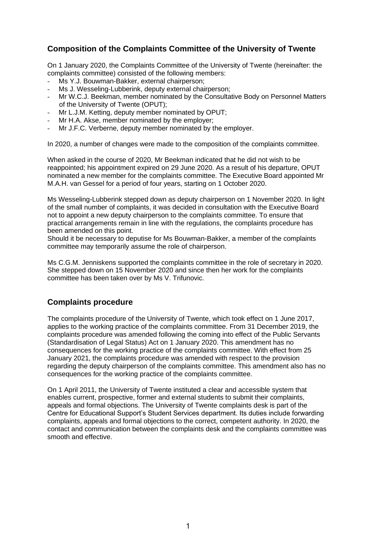## **Composition of the Complaints Committee of the University of Twente**

On 1 January 2020, the Complaints Committee of the University of Twente (hereinafter: the complaints committee) consisted of the following members:

- Ms Y.J. Bouwman-Bakker, external chairperson;
- Ms J. Wesseling-Lubberink, deputy external chairperson;
- Mr W.C.J. Beekman, member nominated by the Consultative Body on Personnel Matters of the University of Twente (OPUT);
- Mr L.J.M. Ketting, deputy member nominated by OPUT;
- Mr H.A. Akse, member nominated by the employer:
- Mr J.F.C. Verberne, deputy member nominated by the employer.

In 2020, a number of changes were made to the composition of the complaints committee.

When asked in the course of 2020, Mr Beekman indicated that he did not wish to be reappointed; his appointment expired on 29 June 2020. As a result of his departure, OPUT nominated a new member for the complaints committee. The Executive Board appointed Mr M.A.H. van Gessel for a period of four years, starting on 1 October 2020.

Ms Wesseling-Lubberink stepped down as deputy chairperson on 1 November 2020. In light of the small number of complaints, it was decided in consultation with the Executive Board not to appoint a new deputy chairperson to the complaints committee. To ensure that practical arrangements remain in line with the regulations, the complaints procedure has been amended on this point.

Should it be necessary to deputise for Ms Bouwman-Bakker, a member of the complaints committee may temporarily assume the role of chairperson.

Ms C.G.M. Jenniskens supported the complaints committee in the role of secretary in 2020. She stepped down on 15 November 2020 and since then her work for the complaints committee has been taken over by Ms V. Trifunovic.

## **Complaints procedure**

The complaints procedure of the University of Twente, which took effect on 1 June 2017, applies to the working practice of the complaints committee. From 31 December 2019, the complaints procedure was amended following the coming into effect of the Public Servants (Standardisation of Legal Status) Act on 1 January 2020. This amendment has no consequences for the working practice of the complaints committee. With effect from 25 January 2021, the complaints procedure was amended with respect to the provision regarding the deputy chairperson of the complaints committee. This amendment also has no consequences for the working practice of the complaints committee.

On 1 April 2011, the University of Twente instituted a clear and accessible system that enables current, prospective, former and external students to submit their complaints, appeals and formal objections. The University of Twente complaints desk is part of the Centre for Educational Support's Student Services department. Its duties include forwarding complaints, appeals and formal objections to the correct, competent authority. In 2020, the contact and communication between the complaints desk and the complaints committee was smooth and effective.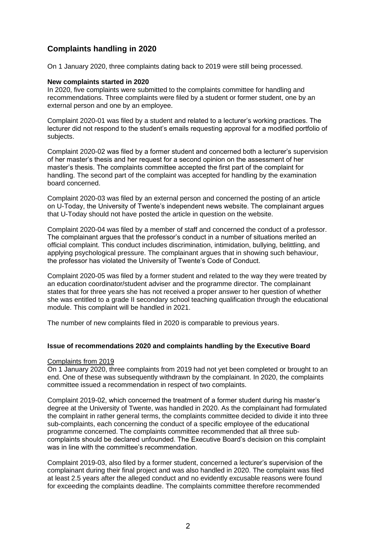## **Complaints handling in 2020**

On 1 January 2020, three complaints dating back to 2019 were still being processed.

#### **New complaints started in 2020**

In 2020, five complaints were submitted to the complaints committee for handling and recommendations. Three complaints were filed by a student or former student, one by an external person and one by an employee.

Complaint 2020-01 was filed by a student and related to a lecturer's working practices. The lecturer did not respond to the student's emails requesting approval for a modified portfolio of subjects.

Complaint 2020-02 was filed by a former student and concerned both a lecturer's supervision of her master's thesis and her request for a second opinion on the assessment of her master's thesis. The complaints committee accepted the first part of the complaint for handling. The second part of the complaint was accepted for handling by the examination board concerned.

Complaint 2020-03 was filed by an external person and concerned the posting of an article on U-Today, the University of Twente's independent news website. The complainant argues that U-Today should not have posted the article in question on the website.

Complaint 2020-04 was filed by a member of staff and concerned the conduct of a professor. The complainant argues that the professor's conduct in a number of situations merited an official complaint. This conduct includes discrimination, intimidation, bullying, belittling, and applying psychological pressure. The complainant argues that in showing such behaviour, the professor has violated the University of Twente's Code of Conduct.

Complaint 2020-05 was filed by a former student and related to the way they were treated by an education coordinator/student adviser and the programme director. The complainant states that for three years she has not received a proper answer to her question of whether she was entitled to a grade II secondary school teaching qualification through the educational module. This complaint will be handled in 2021.

The number of new complaints filed in 2020 is comparable to previous years.

#### **Issue of recommendations 2020 and complaints handling by the Executive Board**

#### Complaints from 2019

On 1 January 2020, three complaints from 2019 had not yet been completed or brought to an end. One of these was subsequently withdrawn by the complainant. In 2020, the complaints committee issued a recommendation in respect of two complaints.

Complaint 2019-02, which concerned the treatment of a former student during his master's degree at the University of Twente, was handled in 2020. As the complainant had formulated the complaint in rather general terms, the complaints committee decided to divide it into three sub-complaints, each concerning the conduct of a specific employee of the educational programme concerned. The complaints committee recommended that all three subcomplaints should be declared unfounded. The Executive Board's decision on this complaint was in line with the committee's recommendation.

Complaint 2019-03, also filed by a former student, concerned a lecturer's supervision of the complainant during their final project and was also handled in 2020. The complaint was filed at least 2.5 years after the alleged conduct and no evidently excusable reasons were found for exceeding the complaints deadline. The complaints committee therefore recommended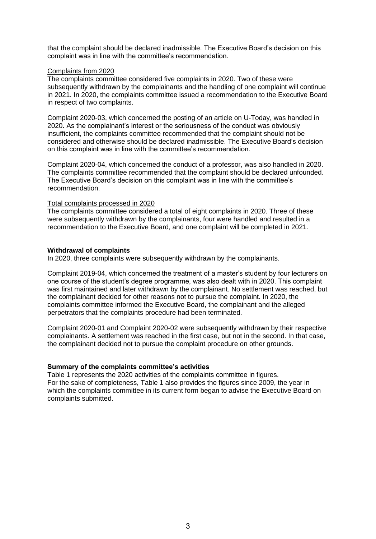that the complaint should be declared inadmissible. The Executive Board's decision on this complaint was in line with the committee's recommendation.

#### Complaints from 2020

The complaints committee considered five complaints in 2020. Two of these were subsequently withdrawn by the complainants and the handling of one complaint will continue in 2021. In 2020, the complaints committee issued a recommendation to the Executive Board in respect of two complaints.

Complaint 2020-03, which concerned the posting of an article on U-Today, was handled in 2020. As the complainant's interest or the seriousness of the conduct was obviously insufficient, the complaints committee recommended that the complaint should not be considered and otherwise should be declared inadmissible. The Executive Board's decision on this complaint was in line with the committee's recommendation.

Complaint 2020-04, which concerned the conduct of a professor, was also handled in 2020. The complaints committee recommended that the complaint should be declared unfounded. The Executive Board's decision on this complaint was in line with the committee's recommendation.

#### Total complaints processed in 2020

The complaints committee considered a total of eight complaints in 2020. Three of these were subsequently withdrawn by the complainants, four were handled and resulted in a recommendation to the Executive Board, and one complaint will be completed in 2021.

#### **Withdrawal of complaints**

In 2020, three complaints were subsequently withdrawn by the complainants.

Complaint 2019-04, which concerned the treatment of a master's student by four lecturers on one course of the student's degree programme, was also dealt with in 2020. This complaint was first maintained and later withdrawn by the complainant. No settlement was reached, but the complainant decided for other reasons not to pursue the complaint. In 2020, the complaints committee informed the Executive Board, the complainant and the alleged perpetrators that the complaints procedure had been terminated.

Complaint 2020-01 and Complaint 2020-02 were subsequently withdrawn by their respective complainants. A settlement was reached in the first case, but not in the second. In that case, the complainant decided not to pursue the complaint procedure on other grounds.

#### **Summary of the complaints committee's activities**

Table 1 represents the 2020 activities of the complaints committee in figures. For the sake of completeness, Table 1 also provides the figures since 2009, the year in which the complaints committee in its current form began to advise the Executive Board on complaints submitted.